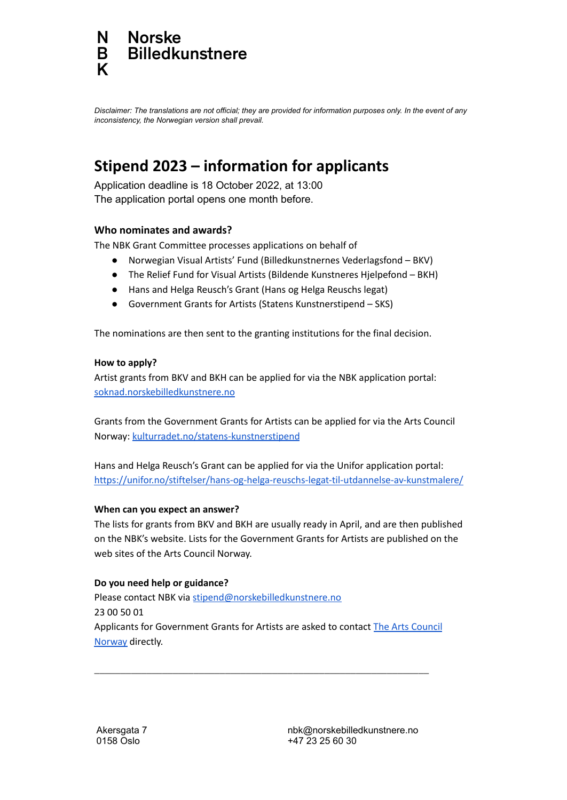#### **Norske N Billedkunstnere** B K

Disclaimer: The translations are not official; they are provided for information purposes only. In the event of any *inconsistency, the Norwegian version shall prevail.*

# **Stipend 2023 – information for applicants**

Application deadline is 18 October 2022, at 13:00 The application portal opens one month before.

## **Who nominates and awards?**

The NBK Grant Committee processes applications on behalf of

- Norwegian Visual Artists' Fund (Billedkunstnernes Vederlagsfond BKV)
- The Relief Fund for Visual Artists (Bildende Kunstneres Hjelpefond BKH)
- Hans and Helga Reusch's Grant (Hans og Helga Reuschs legat)
- Government Grants for Artists (Statens Kunstnerstipend SKS)

The nominations are then sent to the granting institutions for the final decision.

## **How to apply?**

Artist grants from BKV and BKH can be applied for via the NBK application portal: [soknad.norskebilledkunstnere.no](http://soknad.norskebilledkunstnere.no)

Grants from the Government Grants for Artists can be applied for via the Arts Council Norway: [kulturradet.no/statens-kunstnerstipend](http://kulturradet.no/statens-kunstnerstipend)

Hans and Helga Reusch's Grant can be applied for via the Unifor application portal: <https://unifor.no/stiftelser/hans-og-helga-reuschs-legat-til-utdannelse-av-kunstmalere/>

## **When can you expect an answer?**

The lists for grants from BKV and BKH are usually ready in April, and are then published on the NBK's website. Lists for the Government Grants for Artists are published on the web sites of the Arts Council Norway.

## **Do you need help or guidance?**

Please contact NBK via [stipend@norskebilledkunstnere.no](mailto:stipend@norskebilledkunstnere.no) 23 00 50 01 Applicants for Government Grants for Artists are asked to contact The Arts [Council](http://kulturradet.no/statens-kunstnerstipend) [Norway](http://kulturradet.no/statens-kunstnerstipend) directly.

**\_\_\_\_\_\_\_\_\_\_\_\_\_\_\_\_\_\_\_\_\_\_\_\_\_\_\_\_\_\_\_\_\_\_\_\_\_\_\_\_\_\_\_\_\_\_\_\_\_\_\_\_\_\_\_\_\_\_\_\_\_\_\_\_**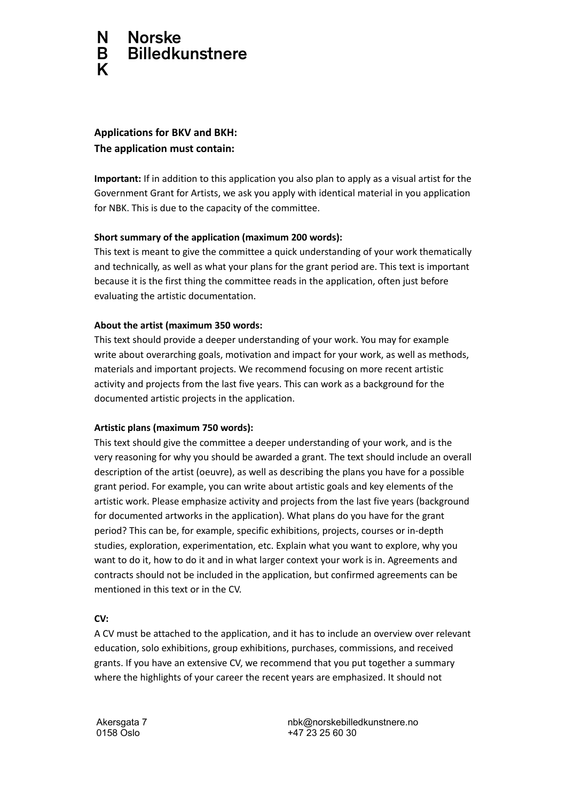#### N. **Norske Billedkunstnere** B K

## **Applications for BKV and BKH: The application must contain:**

**Important:** If in addition to this application you also plan to apply as a visual artist for the Government Grant for Artists, we ask you apply with identical material in you application for NBK. This is due to the capacity of the committee.

## **Short summary of the application (maximum 200 words):**

This text is meant to give the committee a quick understanding of your work thematically and technically, as well as what your plans for the grant period are. This text is important because it is the first thing the committee reads in the application, often just before evaluating the artistic documentation.

## **About the artist (maximum 350 words:**

This text should provide a deeper understanding of your work. You may for example write about overarching goals, motivation and impact for your work, as well as methods, materials and important projects. We recommend focusing on more recent artistic activity and projects from the last five years. This can work as a background for the documented artistic projects in the application.

## **Artistic plans (maximum 750 words):**

This text should give the committee a deeper understanding of your work, and is the very reasoning for why you should be awarded a grant. The text should include an overall description of the artist (oeuvre), as well as describing the plans you have for a possible grant period. For example, you can write about artistic goals and key elements of the artistic work. Please emphasize activity and projects from the last five years (background for documented artworks in the application). What plans do you have for the grant period? This can be, for example, specific exhibitions, projects, courses or in-depth studies, exploration, experimentation, etc. Explain what you want to explore, why you want to do it, how to do it and in what larger context your work is in. Agreements and contracts should not be included in the application, but confirmed agreements can be mentioned in this text or in the CV.

## **CV:**

A CV must be attached to the application, and it has to include an overview over relevant education, solo exhibitions, group exhibitions, purchases, commissions, and received grants. If you have an extensive CV, we recommend that you put together a summary where the highlights of your career the recent years are emphasized. It should not

Akersgata 7 0158 Oslo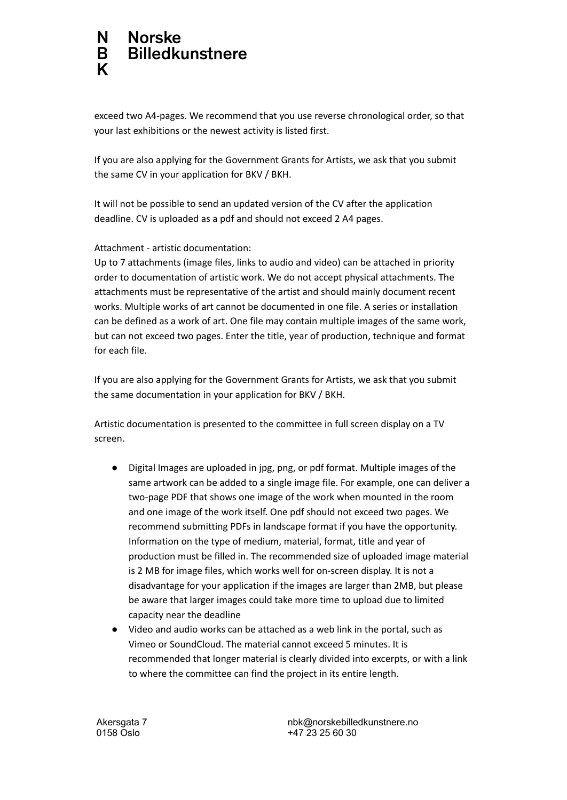#### N **Norske Billedkunstnere** B K

exceed two A4-pages. We recommend that you use reverse chronological order, so that your last exhibitions or the newest activity is listed first.

If you are also applying for the Government Grants for Artists, we ask that you submit the same CV in your application for BKV / BKH.

It will not be possible to send an updated version of the CV after the application deadline. CV is uploaded as a pdf and should not exceed 2 A4 pages.

Attachment - artistic documentation:

Up to 7 attachments (image files, links to audio and video) can be attached in priority order to documentation of artistic work. We do not accept physical attachments. The attachments must be representative of the artist and should mainly document recent works. Multiple works of art cannot be documented in one file. A series or installation can be defined as a work of art. One file may contain multiple images of the same work, but can not exceed two pages. Enter the title, year of production, technique and format for each file.

If you are also applying for the Government Grants for Artists, we ask that you submit the same documentation in your application for BKV / BKH.

Artistic documentation is presented to the committee in full screen display on a TV screen.

- Digital Images are uploaded in jpg, png, or pdf format. Multiple images of the same artwork can be added to a single image file. For example, one can deliver a two-page PDF that shows one image of the work when mounted in the room and one image of the work itself. One pdf should not exceed two pages. We recommend submitting PDFs in landscape format if you have the opportunity. Information on the type of medium, material, format, title and year of production must be filled in. The recommended size of uploaded image material is 2 MB for image files, which works well for on-screen display. It is not a disadvantage for your application if the images are larger than 2MB, but please be aware that larger images could take more time to upload due to limited capacity near the deadline
- Video and audio works can be attached as a web link in the portal, such as Vimeo or SoundCloud. The material cannot exceed 5 minutes. It is recommended that longer material is clearly divided into excerpts, or with a link to where the committee can find the project in its entire length.

Akersgata 7 0158 Oslo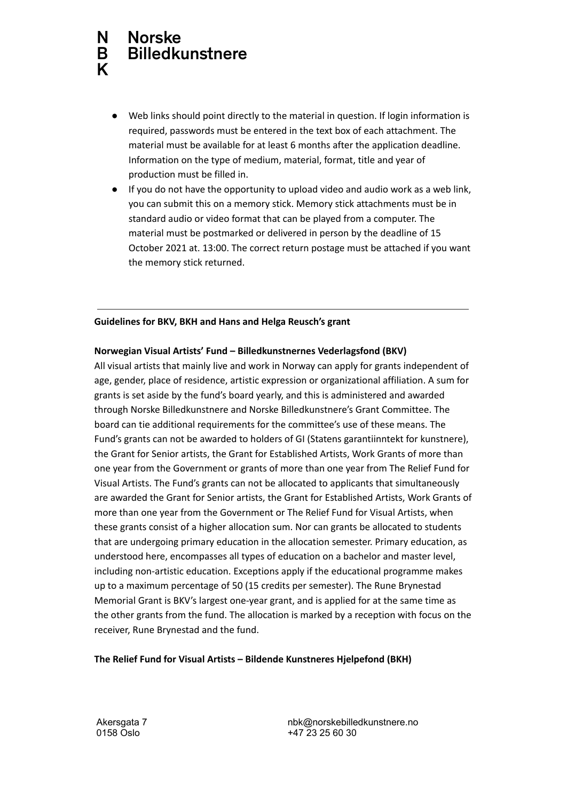#### N **Norske Billedkunstnere** B K

- Web links should point directly to the material in question. If login information is required, passwords must be entered in the text box of each attachment. The material must be available for at least 6 months after the application deadline. Information on the type of medium, material, format, title and year of production must be filled in.
- If you do not have the opportunity to upload video and audio work as a web link, you can submit this on a memory stick. Memory stick attachments must be in standard audio or video format that can be played from a computer. The material must be postmarked or delivered in person by the deadline of 15 October 2021 at. 13:00. The correct return postage must be attached if you want the memory stick returned.

### **Guidelines for BKV, BKH and Hans and Helga Reusch's grant**

## **Norwegian Visual Artists' Fund – Billedkunstnernes Vederlagsfond (BKV)**

All visual artists that mainly live and work in Norway can apply for grants independent of age, gender, place of residence, artistic expression or organizational affiliation. A sum for grants is set aside by the fund's board yearly, and this is administered and awarded through Norske Billedkunstnere and Norske Billedkunstnere's Grant Committee. The board can tie additional requirements for the committee's use of these means. The Fund's grants can not be awarded to holders of GI (Statens garantiinntekt for kunstnere), the Grant for Senior artists, the Grant for Established Artists, Work Grants of more than one year from the Government or grants of more than one year from The Relief Fund for Visual Artists. The Fund's grants can not be allocated to applicants that simultaneously are awarded the Grant for Senior artists, the Grant for Established Artists, Work Grants of more than one year from the Government or The Relief Fund for Visual Artists, when these grants consist of a higher allocation sum. Nor can grants be allocated to students that are undergoing primary education in the allocation semester. Primary education, as understood here, encompasses all types of education on a bachelor and master level, including non-artistic education. Exceptions apply if the educational programme makes up to a maximum percentage of 50 (15 credits per semester). The Rune Brynestad Memorial Grant is BKV's largest one-year grant, and is applied for at the same time as the other grants from the fund. The allocation is marked by a reception with focus on the receiver, Rune Brynestad and the fund.

## **The Relief Fund for Visual Artists – Bildende Kunstneres Hjelpefond (BKH)**

Akersgata 7 0158 Oslo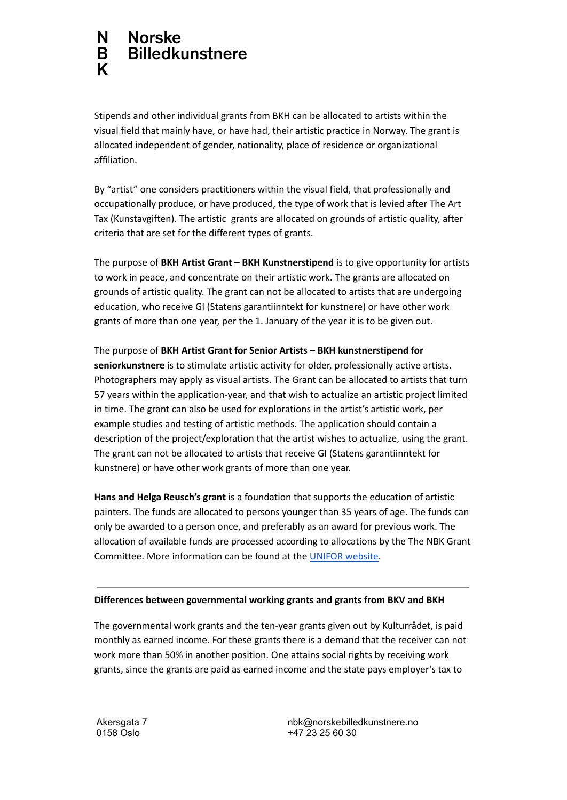#### N. **Norske Billedkunstnere** B K

Stipends and other individual grants from BKH can be allocated to artists within the visual field that mainly have, or have had, their artistic practice in Norway. The grant is allocated independent of gender, nationality, place of residence or organizational affiliation.

By "artist" one considers practitioners within the visual field, that professionally and occupationally produce, or have produced, the type of work that is levied after The Art Tax (Kunstavgiften). The artistic grants are allocated on grounds of artistic quality, after criteria that are set for the different types of grants.

The purpose of **BKH Artist Grant – BKH Kunstnerstipend** is to give opportunity for artists to work in peace, and concentrate on their artistic work. The grants are allocated on grounds of artistic quality. The grant can not be allocated to artists that are undergoing education, who receive GI (Statens garantiinntekt for kunstnere) or have other work grants of more than one year, per the 1. January of the year it is to be given out.

The purpose of **BKH Artist Grant for Senior Artists – BKH kunstnerstipend for seniorkunstnere** is to stimulate artistic activity for older, professionally active artists. Photographers may apply as visual artists. The Grant can be allocated to artists that turn 57 years within the application-year, and that wish to actualize an artistic project limited in time. The grant can also be used for explorations in the artist's artistic work, per example studies and testing of artistic methods. The application should contain a description of the project/exploration that the artist wishes to actualize, using the grant. The grant can not be allocated to artists that receive GI (Statens garantiinntekt for kunstnere) or have other work grants of more than one year.

**Hans and Helga Reusch's grant** is a foundation that supports the education of artistic painters. The funds are allocated to persons younger than 35 years of age. The funds can only be awarded to a person once, and preferably as an award for previous work. The allocation of available funds are processed according to allocations by the The NBK Grant Committee. More information can be found at the UNIFOR [website.](https://unifor.no/stiftelser/hans-og-helga-reuschs-legat-til-utdannelse-av-kunstmalere/)

## **Differences between governmental working grants and grants from BKV and BKH**

The governmental work grants and the ten-year grants given out by Kulturrådet, is paid monthly as earned income. For these grants there is a demand that the receiver can not work more than 50% in another position. One attains social rights by receiving work grants, since the grants are paid as earned income and the state pays employer's tax to

Akersgata 7 0158 Oslo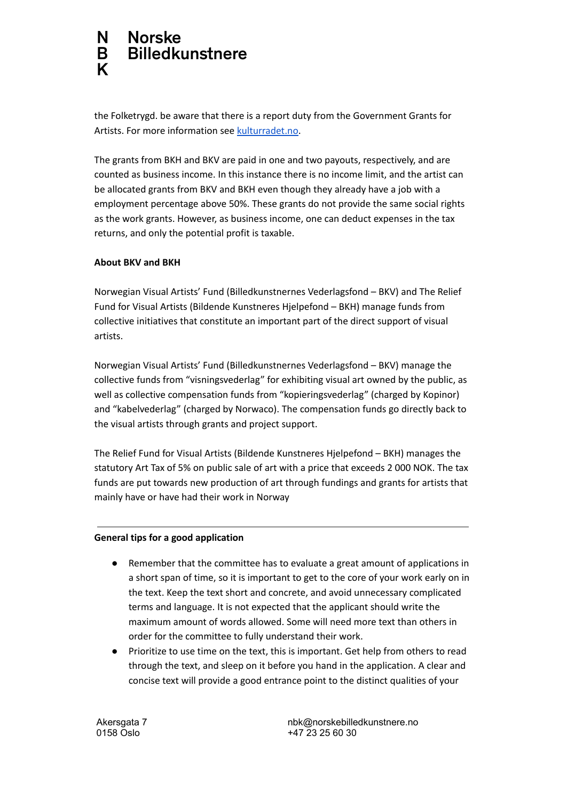#### N. **Norske Billedkunstnere** B K

the Folketrygd. be aware that there is a report duty from the Government Grants for Artists. For more information see [kulturradet.no.](http://kulturradet.no)

The grants from BKH and BKV are paid in one and two payouts, respectively, and are counted as business income. In this instance there is no income limit, and the artist can be allocated grants from BKV and BKH even though they already have a job with a employment percentage above 50%. These grants do not provide the same social rights as the work grants. However, as business income, one can deduct expenses in the tax returns, and only the potential profit is taxable.

## **About BKV and BKH**

Norwegian Visual Artists' Fund (Billedkunstnernes Vederlagsfond – BKV) and The Relief Fund for Visual Artists (Bildende Kunstneres Hjelpefond – BKH) manage funds from collective initiatives that constitute an important part of the direct support of visual artists.

Norwegian Visual Artists' Fund (Billedkunstnernes Vederlagsfond – BKV) manage the collective funds from "visningsvederlag" for exhibiting visual art owned by the public, as well as collective compensation funds from "kopieringsvederlag" (charged by Kopinor) and "kabelvederlag" (charged by Norwaco). The compensation funds go directly back to the visual artists through grants and project support.

The Relief Fund for Visual Artists (Bildende Kunstneres Hjelpefond – BKH) manages the statutory Art Tax of 5% on public sale of art with a price that exceeds 2 000 NOK. The tax funds are put towards new production of art through fundings and grants for artists that mainly have or have had their work in Norway

## **General tips for a good application**

- Remember that the committee has to evaluate a great amount of applications in a short span of time, so it is important to get to the core of your work early on in the text. Keep the text short and concrete, and avoid unnecessary complicated terms and language. It is not expected that the applicant should write the maximum amount of words allowed. Some will need more text than others in order for the committee to fully understand their work.
- Prioritize to use time on the text, this is important. Get help from others to read through the text, and sleep on it before you hand in the application. A clear and concise text will provide a good entrance point to the distinct qualities of your

Akersgata 7 0158 Oslo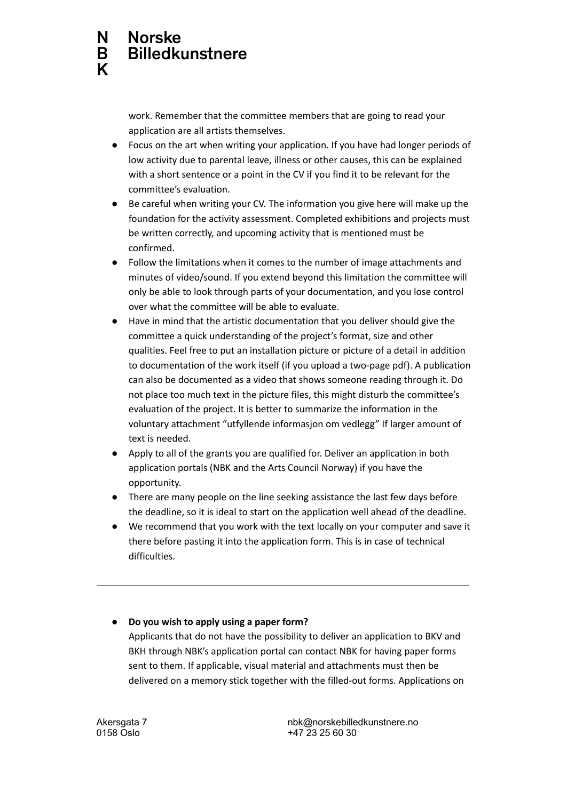work. Remember that the committee members that are going to read your application are all artists themselves.

- Focus on the art when writing your application. If you have had longer periods of low activity due to parental leave, illness or other causes, this can be explained with a short sentence or a point in the CV if you find it to be relevant for the committee's evaluation.
- Be careful when writing your CV. The information you give here will make up the foundation for the activity assessment. Completed exhibitions and projects must be written correctly, and upcoming activity that is mentioned must be confirmed.
- Follow the limitations when it comes to the number of image attachments and minutes of video/sound. If you extend beyond this limitation the committee will only be able to look through parts of your documentation, and you lose control over what the committee will be able to evaluate.
- Have in mind that the artistic documentation that you deliver should give the committee a quick understanding of the project's format, size and other qualities. Feel free to put an installation picture or picture of a detail in addition to documentation of the work itself (if you upload a two-page pdf). A publication can also be documented as a video that shows someone reading through it. Do not place too much text in the picture files, this might disturb the committee's evaluation of the project. It is better to summarize the information in the voluntary attachment "utfyllende informasjon om vedlegg" If larger amount of text is needed.
- Apply to all of the grants you are qualified for. Deliver an application in both application portals (NBK and the Arts Council Norway) if you have the opportunity.
- There are many people on the line seeking assistance the last few days before the deadline, so it is ideal to start on the application well ahead of the deadline.
- We recommend that you work with the text locally on your computer and save it there before pasting it into the application form. This is in case of technical difficulties.

**● Do you wish to apply using a paper form?**

Applicants that do not have the possibility to deliver an application to BKV and BKH through NBK's application portal can contact NBK for having paper forms sent to them. If applicable, visual material and attachments must then be delivered on a memory stick together with the filled-out forms. Applications on

Akersgata 7 0158 Oslo